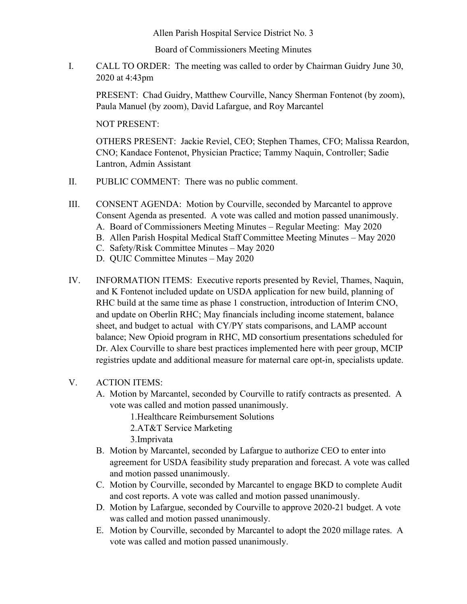Allen Parish Hospital Service District No. 3

Board of Commissioners Meeting Minutes

I. CALL TO ORDER: The meeting was called to order by Chairman Guidry June 30, 2020 at 4:43pm

PRESENT: Chad Guidry, Matthew Courville, Nancy Sherman Fontenot (by zoom), Paula Manuel (by zoom), David Lafargue, and Roy Marcantel

NOT PRESENT:

OTHERS PRESENT: Jackie Reviel, CEO; Stephen Thames, CFO; Malissa Reardon, CNO; Kandace Fontenot, Physician Practice; Tammy Naquin, Controller; Sadie Lantron, Admin Assistant

- II. PUBLIC COMMENT: There was no public comment.
- III. CONSENT AGENDA: Motion by Courville, seconded by Marcantel to approve Consent Agenda as presented. A vote was called and motion passed unanimously.
	- A. Board of Commissioners Meeting Minutes Regular Meeting: May 2020
	- B. Allen Parish Hospital Medical Staff Committee Meeting Minutes May 2020
	- C. Safety/Risk Committee Minutes May 2020
	- D. QUIC Committee Minutes May 2020
- IV. INFORMATION ITEMS: Executive reports presented by Reviel, Thames, Naquin, and K Fontenot included update on USDA application for new build, planning of RHC build at the same time as phase 1 construction, introduction of Interim CNO, and update on Oberlin RHC; May financials including income statement, balance sheet, and budget to actual with CY/PY stats comparisons, and LAMP account balance; New Opioid program in RHC, MD consortium presentations scheduled for Dr. Alex Courville to share best practices implemented here with peer group, MCIP registries update and additional measure for maternal care opt-in, specialists update.

## V. ACTION ITEMS:

A. Motion by Marcantel, seconded by Courville to ratify contracts as presented. A vote was called and motion passed unanimously.

1.Healthcare Reimbursement Solutions

2.AT&T Service Marketing

3.Imprivata

- B. Motion by Marcantel, seconded by Lafargue to authorize CEO to enter into agreement for USDA feasibility study preparation and forecast. A vote was called and motion passed unanimously.
- C. Motion by Courville, seconded by Marcantel to engage BKD to complete Audit and cost reports. A vote was called and motion passed unanimously.
- D. Motion by Lafargue, seconded by Courville to approve 2020-21 budget. A vote was called and motion passed unanimously.
- E. Motion by Courville, seconded by Marcantel to adopt the 2020 millage rates. A vote was called and motion passed unanimously.